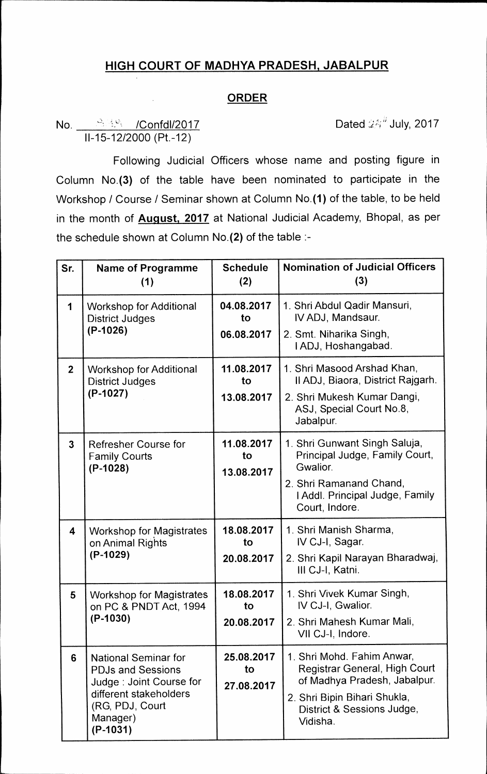# **HIGH COURT OF MADHYA PRADESH, JABALPUR**

### **ORDER**

## No.  $\frac{12.328}{\sqrt{2}}$  /Confdl/2017 **Dated 24<sup>th</sup> July, 2017** 11-15-12/2000 (Pt.-12)

Following Judicial Officers whose name and posting figure in Column No.(3) of the table have been nominated to participate in the Workshop / Course / Seminar shown at Column No.(1) of the table, to be held in the month of **August, 2017** at National Judicial Academy, Bhopal, as per the schedule shown at Column No.(2) of the table :-

| Sr.                     | <b>Name of Programme</b><br>(1)                                                                                                                           | <b>Schedule</b><br>(2)         | <b>Nomination of Judicial Officers</b><br>(3)                                                                                                                         |
|-------------------------|-----------------------------------------------------------------------------------------------------------------------------------------------------------|--------------------------------|-----------------------------------------------------------------------------------------------------------------------------------------------------------------------|
| 1                       | <b>Workshop for Additional</b><br><b>District Judges</b><br>$(P-1026)$                                                                                    | 04.08.2017<br>to<br>06.08.2017 | 1. Shri Abdul Qadir Mansuri,<br>IV ADJ, Mandsaur.<br>2. Smt. Niharika Singh,<br>I ADJ, Hoshangabad.                                                                   |
| 2 <sup>1</sup>          | <b>Workshop for Additional</b><br><b>District Judges</b><br>$(P-1027)$                                                                                    | 11.08.2017<br>to<br>13.08.2017 | 1. Shri Masood Arshad Khan,<br>Il ADJ, Biaora, District Rajgarh.<br>2. Shri Mukesh Kumar Dangi,<br>ASJ, Special Court No.8,<br>Jabalpur.                              |
| $\overline{3}$          | <b>Refresher Course for</b><br><b>Family Courts</b><br>$(P-1028)$                                                                                         | 11.08.2017<br>to<br>13.08.2017 | 1. Shri Gunwant Singh Saluja,<br>Principal Judge, Family Court,<br>Gwalior.<br>2. Shri Ramanand Chand,<br>I Addl. Principal Judge, Family<br>Court, Indore.           |
| $\overline{\mathbf{4}}$ | <b>Workshop for Magistrates</b><br>on Animal Rights<br>$(P-1029)$                                                                                         | 18.08.2017<br>to<br>20.08.2017 | 1. Shri Manish Sharma,<br>IV CJ-I, Sagar.<br>2. Shri Kapil Narayan Bharadwaj,<br>III CJ-I, Katni.                                                                     |
| 5                       | <b>Workshop for Magistrates</b><br>on PC & PNDT Act, 1994<br>(P-1030)                                                                                     | 18.08.2017<br>to<br>20.08.2017 | 1. Shri Vivek Kumar Singh,<br>IV CJ-I, Gwalior.<br>2. Shri Mahesh Kumar Mali,<br>VII CJ-I, Indore.                                                                    |
| 6                       | <b>National Seminar for</b><br><b>PDJs and Sessions</b><br>Judge: Joint Course for<br>different stakeholders<br>(RG, PDJ, Court<br>Manager)<br>$(P-1031)$ | 25.08.2017<br>to<br>27.08.2017 | 1. Shri Mohd. Fahim Anwar,<br>Registrar General, High Court<br>of Madhya Pradesh, Jabalpur.<br>2. Shri Bipin Bihari Shukla,<br>District & Sessions Judge,<br>Vidisha. |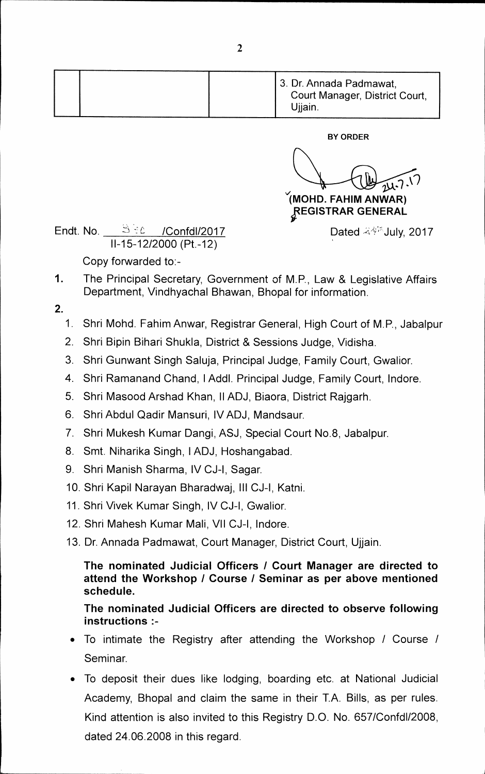|  |  | 3. Dr. Annada Padmawat,<br>Court Manager, District Court,<br>Ujjain. |
|--|--|----------------------------------------------------------------------|
|  |  |                                                                      |

**BY ORDER** 

**(MOHD. FAHIM AN WAR) IFEGISTRAR GENERAL** 

Dated  $\mathcal{R}^{\text{opt}}$ July, 2017

**Endt. No.** *:7)* **/Confd1/2017 11-15-12/2000 (Pt.-12)** 

**Copy forwarded to:-** 

**1. The Principal Secretary, Government of M.P., Law & Legislative Affairs Department, Vindhyachal Bhawan, Bhopal for information.** 

**2.** 

- **1. Shri Mohd. Fahim Anwar, Registrar General, High Court of M.P., Jabalpur**
- **2. Shri Bipin Bihari Shukla, District & Sessions Judge, Vidisha.**
- **3. Shri Gunwant Singh Saluja, Principal Judge, Family Court, Gwalior.**
- **4. Shri Ramanand Chand, I Addl. Principal Judge, Family Court, lndore.**
- **5. Shri Masood Arshad Khan, II ADJ, Biaora, District Rajgarh.**
- **6. Shri Abdul Qadir Mansuri, IV ADJ, Mandsaur.**
- **7. Shri Mukesh Kumar Dangi, ASJ, Special Court No.8, Jabalpur.**
- **8. Smt. Niharika Singh, I ADJ, Hoshangabad.**
- **9. Shri Manish Sharma, IV CJ-I, Sagar.**
- **10. Shri Kapil Narayan Bharadwaj, III CJ-I, Katni.**
- **11. Shri Vivek Kumar Singh, IV CJ-I, Gwalior.**
- **12. Shri Mahesh Kumar Mali, VII CJ-I, lndore.**
- **13. Dr. Annada Padmawat, Court Manager, District Court, Ujjain.**

**The nominated Judicial Officers / Court Manager are directed to attend the Workshop / Course / Seminar as per above mentioned schedule.** 

## **The nominated Judicial Officers are directed to observe following instructions**

- **To intimate the Registry after attending the Workshop / Course / Seminar.**
- **To deposit their dues like lodging, boarding etc. at National Judicial Academy, Bhopal and claim the same in their T.A. Bills, as per rules. Kind attention is also invited to this Registry D.O. No. 657/Confd1/2008, dated 24.06.2008 in this regard.**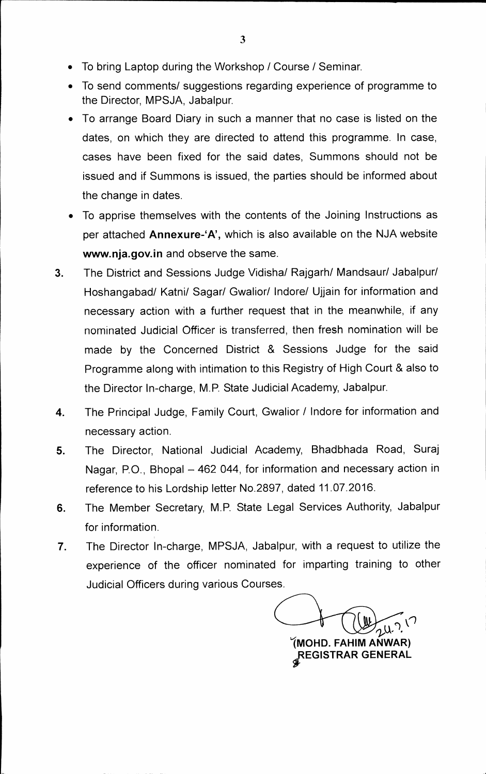- **To bring Laptop during the Workshop / Course / Seminar.**
- To send comments/ suggestions regarding experience of programme to **the Director, MPSJA, Jabalpur.**
- **To arrange Board Diary in such a manner that no case is listed on the dates, on which they are directed to attend this programme. In case, cases have been fixed for the said dates, Summons should not be issued and if Summons is issued, the parties should be informed about**  the change in dates.
- **To apprise themselves with the contents of the Joining Instructions as per attached Annexure-`A', which is also available on the NJA website www.nja.gov.in and observe the same.**
- **3. The District and Sessions Judge Vidisha/ Rajgarh/ Mandsaur/ Jabalpur/ Hoshangabad/ Katni/ Sagar/ Gwalior/ Indore/ Ujjain for information and necessary action with a further request that in the meanwhile, if any nominated Judicial Officer is transferred, then fresh nomination will be made by the Concerned District & Sessions Judge for the said Programme along with intimation to this Registry of High Court & also to the Director In-charge, M.P. State Judicial Academy, Jabalpur.**
- **4. The Principal Judge, Family Court, Gwalior / Indore for information and necessary action.**
- **5. The Director, National Judicial Academy, Bhadbhada Road, Suraj Nagar, P.O., Bhopal — 462 044, for information and necessary action in reference to his Lordship letter No.2897, dated 11.07.2016.**
- **6. The Member Secretary, M.P. State Legal Services Authority, Jabalpur for information.**
- **7. The Director In-charge, MPSJA, Jabalpur, with a request to utilize the experience of the officer nominated for imparting training to other Judicial Officers during various Courses.**

**1MOHD. FAHIM AN WAR) ;REGISTRAR GENERAL**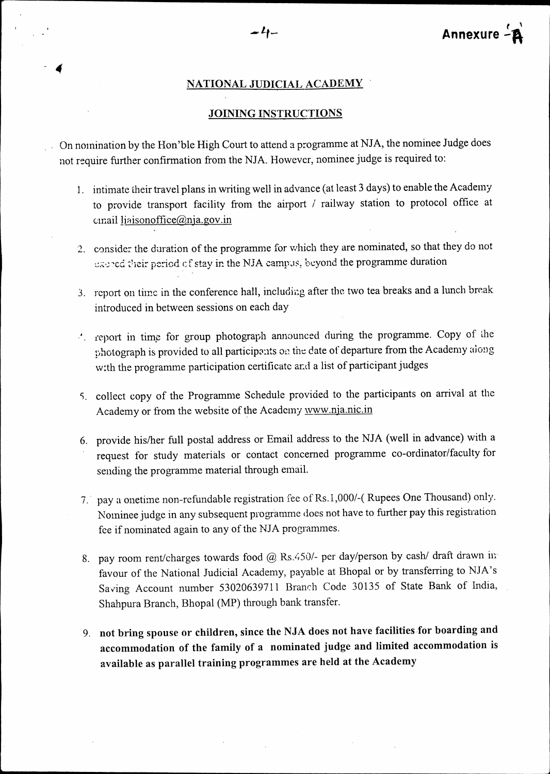#### **NATIONAL JUDICIAL ACADEMY •**

#### **JOINING INSTRUCTIONS**

**. .** On nomination by the Hon'ble High Court to attend a programme at NJA, the nominee Judge does not require further confirmation from the NJA. However, nominee judge is required to:

- 1. intimate their travel plans in writing well in advance (at least 3 days) to enable the Academy to provide transport facility from the airport / railway station to protocol office at email liaisonoffice@nja.gov.in
- 2. consider the duration of the programme for which they are nominated, so that they do not thered their period of stay in the NJA campus, beyond the programme duration
- 3. report on time in the conference hall, including after the two tea breaks and a lunch break introduced in between sessions on each day
- . report in timp for group photograph announced during the programme. Copy of ihe photograph is provided to all participonts on the date of departure from the Academy along w:th the programme participation certificate and a list of participant judges
- S. collect copy of the Programme Schedule provided to the participants on arrival at the Academy or from the website of the Academy www.nja.nic.in
- 6. provide his/her full postal address or Email address to the NJA (well in advance) with a request for study materials or contact concerned programme co-ordinator/faculty for sending the programme material through email.
- 7.. pay a onetime non-refundable registration fee of Rs.1,000/-( Rupees One Thousand) only. Nominee judge in any subsequent programme does not have to further pay this registration fee if nominated again to any of the NJA programmes.
- 8. pay room rent/charges towards food @ Rs.450/- per day/person by cash/ draft drawn in. favour of the National Judicial Academy, payable at Bhopal or by transferring to NJA's Saving Account number 53020639711 Branch Code 30135 of State Bank of India, Shahpura Branch, Bhopal (MP) through bank transfer.
- **9. not bring spouse or children, since the NJA does not have facilities for boarding and accommodation of the family of a nominated judge and limited accommodation is available as parallel training programmes are held at the Academy**

*4*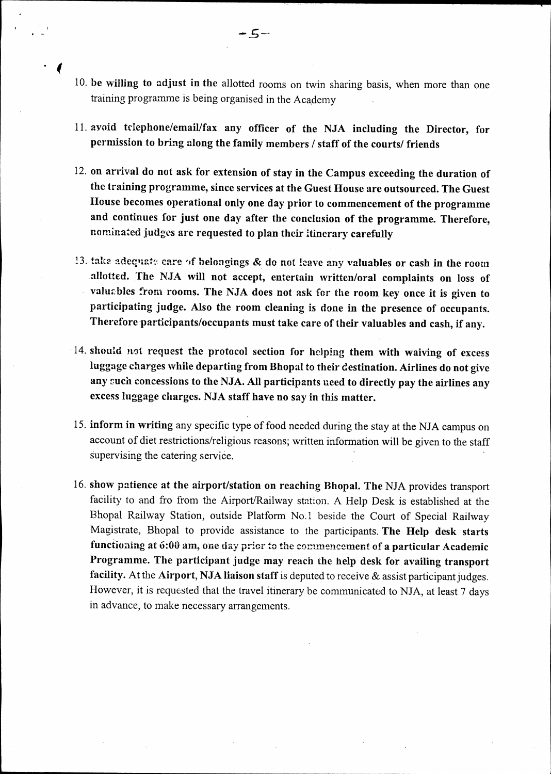- **10. be willing to adjust in the** allotted rooms on twin sharing basis, when more than one training programme is being organised in the Academy
- **11. avoid telephone/email/fax any officer of the NSA. including the Director, for permission to bring along the family members / staff of the courts/ friends**
- **12. on arrival do not ask for extension of stay in the Campus exceeding the duration of the training programme, since services at the Guest House are outsourced. The Guest House becomes operational only one day prior to commencement of the programme and continues for just one day after the conclusion of the programme. Therefore,**  nominated **judges are requested to plan their itinerary carefully**
- 13. take adequate care of belongings & do not leave any valuables or cash in the room **allotted. The NJA will not accept, entertain written/oral complaints on loss of valuzbles from rooms. The NJA does not ask for the room key once it is given to participating judge. Also the room cleaning is done in the presence of occupants.**  Therefore participants/occupants must take care of their valuables and cash, if any.
- **14. should not request the protocol section for helping them with waiving of excess luggage charges while departing from Bhopal to their destination. Airlines do not give any such concessions to the NJA. All participants need to directly pay the airlines any excess luggage charges. NJA staff have no say in this matter.**
- **15. inform in writing** any specific type of food needed during the stay at the NJA campus on account of diet restrictions/religious reasons; written information will be given to the staff supervising the catering service.
- **16. show patience at the airport/station on reaching Bhopal. The** NJA provides transport facility to and fro from the Airport/Railway station. A Help Desk is established at the Bhopal Railway Station, outside Platform No.1 beside the Court of Special Railway Magistrate, Bhopal to provide assistance to the participants. **The Help desk starts functioning at 6:00 am, one** day prior to the commencement of **a particular Academic Programme. The participant judge may reach the help desk for availing transport facility.** At the **Airport, NJA liaison staff** is deputed to receive & assist participant judges. However, it is requested that the travel itinerary be communicated to NJA, at least 7 days in advance, to make necessary arrangements.